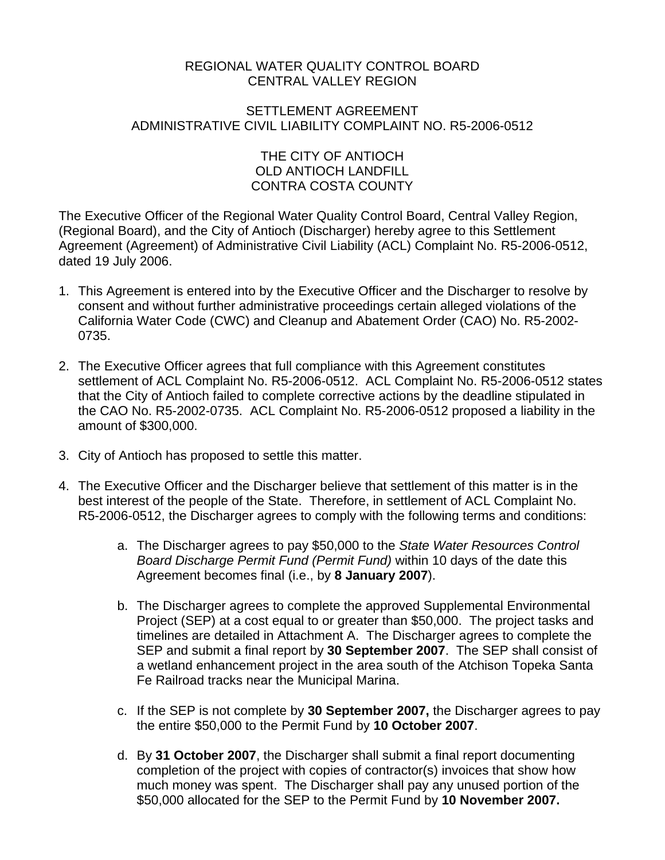## REGIONAL WATER QUALITY CONTROL BOARD CENTRAL VALLEY REGION

#### SETTLEMENT AGREEMENT ADMINISTRATIVE CIVIL LIABILITY COMPLAINT NO. R5-2006-0512

# THE CITY OF ANTIOCH OLD ANTIOCH LANDFILL CONTRA COSTA COUNTY

The Executive Officer of the Regional Water Quality Control Board, Central Valley Region, (Regional Board), and the City of Antioch (Discharger) hereby agree to this Settlement Agreement (Agreement) of Administrative Civil Liability (ACL) Complaint No. R5-2006-0512, dated 19 July 2006.

- 1. This Agreement is entered into by the Executive Officer and the Discharger to resolve by consent and without further administrative proceedings certain alleged violations of the California Water Code (CWC) and Cleanup and Abatement Order (CAO) No. R5-2002- 0735.
- 2. The Executive Officer agrees that full compliance with this Agreement constitutes settlement of ACL Complaint No. R5-2006-0512. ACL Complaint No. R5-2006-0512 states that the City of Antioch failed to complete corrective actions by the deadline stipulated in the CAO No. R5-2002-0735. ACL Complaint No. R5-2006-0512 proposed a liability in the amount of \$300,000.
- 3. City of Antioch has proposed to settle this matter.
- 4. The Executive Officer and the Discharger believe that settlement of this matter is in the best interest of the people of the State. Therefore, in settlement of ACL Complaint No. R5-2006-0512, the Discharger agrees to comply with the following terms and conditions:
	- a. The Discharger agrees to pay \$50,000 to the *State Water Resources Control Board Discharge Permit Fund (Permit Fund)* within 10 days of the date this Agreement becomes final (i.e., by **8 January 2007**).
	- b. The Discharger agrees to complete the approved Supplemental Environmental Project (SEP) at a cost equal to or greater than \$50,000. The project tasks and timelines are detailed in Attachment A. The Discharger agrees to complete the SEP and submit a final report by **30 September 2007**. The SEP shall consist of a wetland enhancement project in the area south of the Atchison Topeka Santa Fe Railroad tracks near the Municipal Marina.
	- c. If the SEP is not complete by **30 September 2007,** the Discharger agrees to pay the entire \$50,000 to the Permit Fund by **10 October 2007**.
	- d. By **31 October 2007**, the Discharger shall submit a final report documenting completion of the project with copies of contractor(s) invoices that show how much money was spent. The Discharger shall pay any unused portion of the \$50,000 allocated for the SEP to the Permit Fund by **10 November 2007.**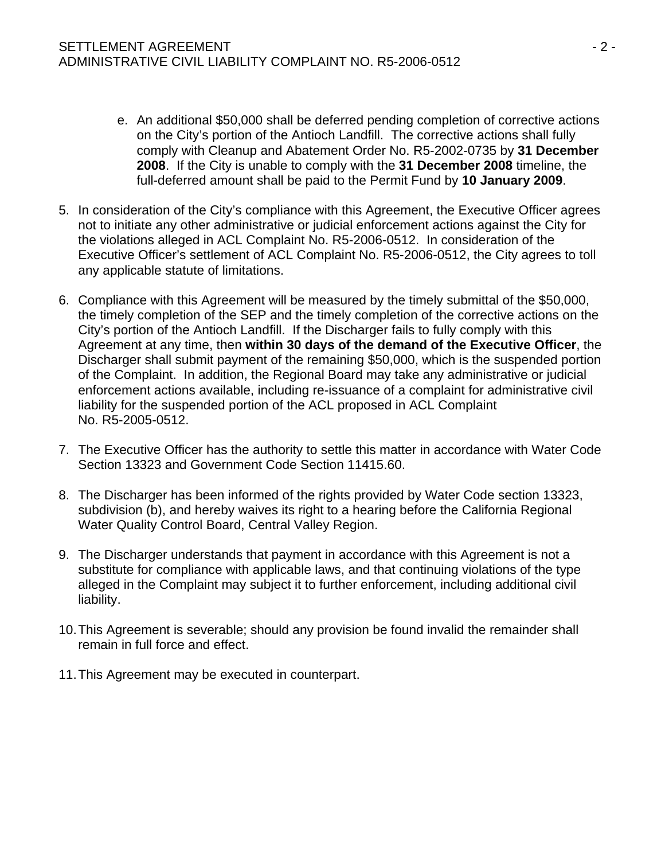- e. An additional \$50,000 shall be deferred pending completion of corrective actions on the City's portion of the Antioch Landfill. The corrective actions shall fully comply with Cleanup and Abatement Order No. R5-2002-0735 by **31 December 2008**. If the City is unable to comply with the **31 December 2008** timeline, the full-deferred amount shall be paid to the Permit Fund by **10 January 2009**.
- 5. In consideration of the City's compliance with this Agreement, the Executive Officer agrees not to initiate any other administrative or judicial enforcement actions against the City for the violations alleged in ACL Complaint No. R5-2006-0512. In consideration of the Executive Officer's settlement of ACL Complaint No. R5-2006-0512, the City agrees to toll any applicable statute of limitations.
- 6. Compliance with this Agreement will be measured by the timely submittal of the \$50,000, the timely completion of the SEP and the timely completion of the corrective actions on the City's portion of the Antioch Landfill. If the Discharger fails to fully comply with this Agreement at any time, then **within 30 days of the demand of the Executive Officer**, the Discharger shall submit payment of the remaining \$50,000, which is the suspended portion of the Complaint. In addition, the Regional Board may take any administrative or judicial enforcement actions available, including re-issuance of a complaint for administrative civil liability for the suspended portion of the ACL proposed in ACL Complaint No. R5-2005-0512.
- 7. The Executive Officer has the authority to settle this matter in accordance with Water Code Section 13323 and Government Code Section 11415.60.
- 8. The Discharger has been informed of the rights provided by Water Code section 13323, subdivision (b), and hereby waives its right to a hearing before the California Regional Water Quality Control Board, Central Valley Region.
- 9. The Discharger understands that payment in accordance with this Agreement is not a substitute for compliance with applicable laws, and that continuing violations of the type alleged in the Complaint may subject it to further enforcement, including additional civil liability.
- 10. This Agreement is severable; should any provision be found invalid the remainder shall remain in full force and effect.
- 11. This Agreement may be executed in counterpart.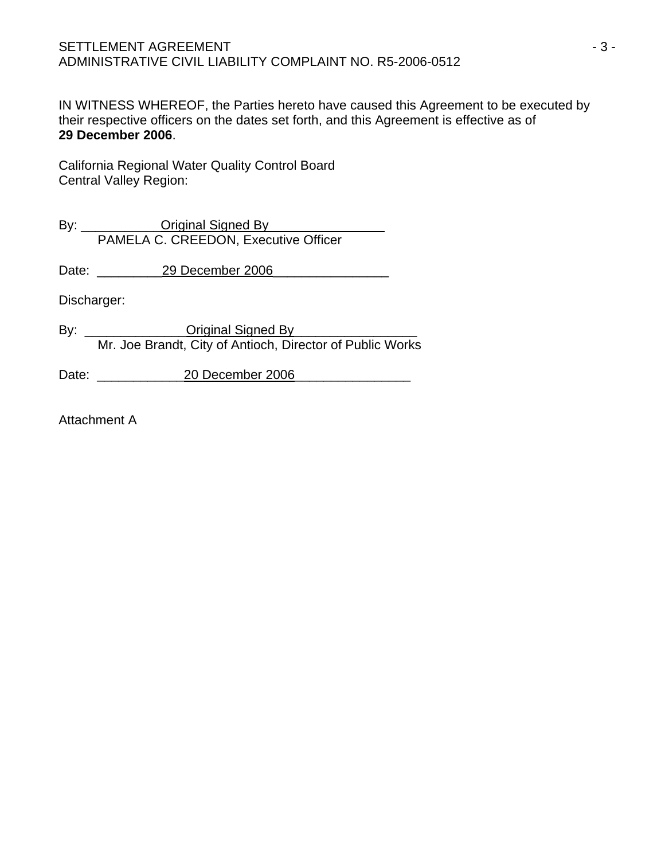IN WITNESS WHEREOF, the Parties hereto have caused this Agreement to be executed by their respective officers on the dates set forth, and this Agreement is effective as of **29 December 2006**.

California Regional Water Quality Control Board Central Valley Region:

By: \_\_\_\_\_\_\_\_\_\_\_Original Signed By\_\_\_\_\_\_\_\_\_\_\_\_\_\_\_\_ PAMELA C. CREEDON, Executive Officer

Date: 29 December 2006

Discharger:

By: \_\_\_\_\_\_\_\_\_\_\_\_\_\_Original Signed By\_\_\_\_\_\_\_\_\_\_\_\_\_\_\_\_\_ Mr. Joe Brandt, City of Antioch, Director of Public Works

Date: \_\_\_\_\_\_\_\_\_\_\_\_20 December 2006\_\_\_\_\_\_\_\_\_\_\_\_\_\_\_\_

Attachment A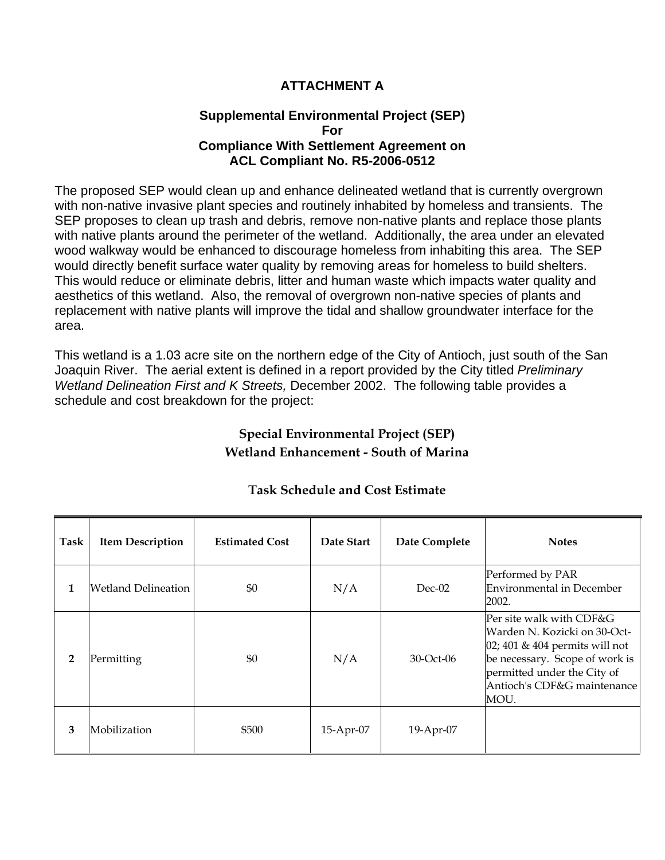# **ATTACHMENT A**

### **Supplemental Environmental Project (SEP) For Compliance With Settlement Agreement on ACL Compliant No. R5-2006-0512**

The proposed SEP would clean up and enhance delineated wetland that is currently overgrown with non-native invasive plant species and routinely inhabited by homeless and transients. The SEP proposes to clean up trash and debris, remove non-native plants and replace those plants with native plants around the perimeter of the wetland. Additionally, the area under an elevated wood walkway would be enhanced to discourage homeless from inhabiting this area. The SEP would directly benefit surface water quality by removing areas for homeless to build shelters. This would reduce or eliminate debris, litter and human waste which impacts water quality and aesthetics of this wetland. Also, the removal of overgrown non-native species of plants and replacement with native plants will improve the tidal and shallow groundwater interface for the area.

This wetland is a 1.03 acre site on the northern edge of the City of Antioch, just south of the San Joaquin River. The aerial extent is defined in a report provided by the City titled *Preliminary Wetland Delineation First and K Streets,* December 2002. The following table provides a schedule and cost breakdown for the project:

# **Special Environmental Project (SEP) Wetland Enhancement - South of Marina**

| Task           | <b>Item Description</b> | <b>Estimated Cost</b> | Date Start | Date Complete | <b>Notes</b>                                                                                                                                                                                           |
|----------------|-------------------------|-----------------------|------------|---------------|--------------------------------------------------------------------------------------------------------------------------------------------------------------------------------------------------------|
| 1              | Wetland Delineation     | \$0                   | N/A        | $Dec-02$      | Performed by PAR<br>Environmental in December<br>2002.                                                                                                                                                 |
| $\overline{2}$ | Permitting              | \$0                   | N/A        | 30-Oct-06     | Per site walk with CDF&G<br>Warden N. Kozicki on 30-Oct-<br>$[02; 401 \& 404$ permits will not<br>be necessary. Scope of work is<br>permitted under the City of<br>Antioch's CDF&G maintenance<br>MOU. |
| 3              | Mobilization            | \$500                 | 15-Apr-07  | 19-Apr-07     |                                                                                                                                                                                                        |

# **Task Schedule and Cost Estimate**